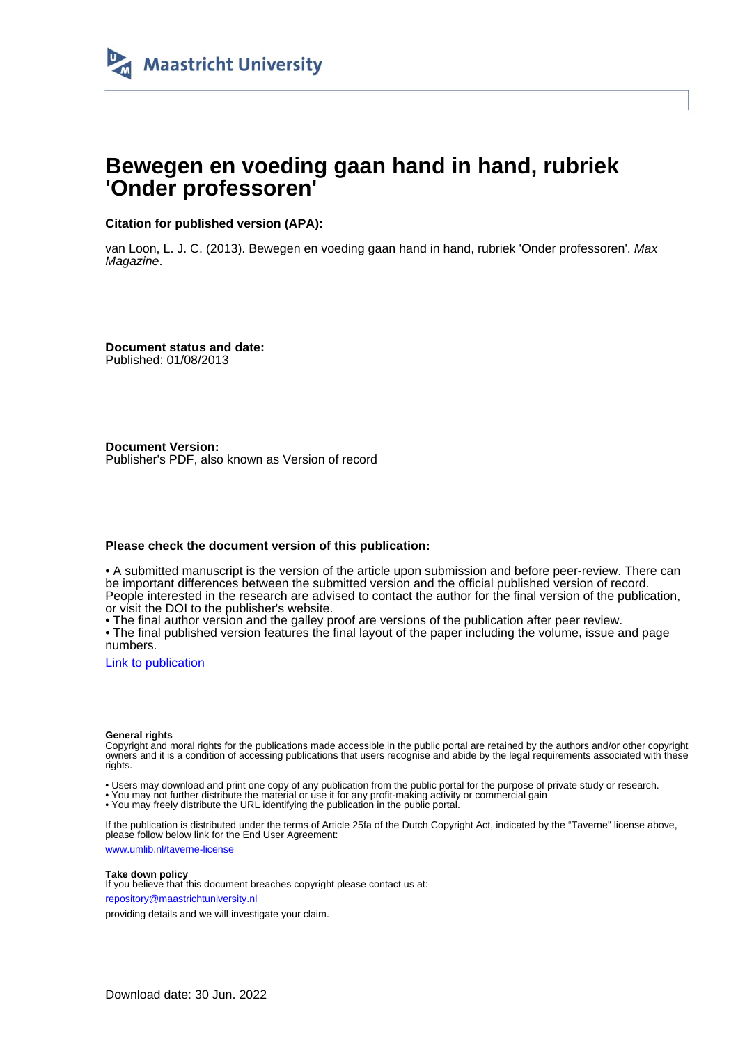

# **Bewegen en voeding gaan hand in hand, rubriek 'Onder professoren'**

**Citation for published version (APA):**

van Loon, L. J. C. (2013). Bewegen en voeding gaan hand in hand, rubriek 'Onder professoren'. Max Magazine.

**Document status and date:** Published: 01/08/2013

**Document Version:** Publisher's PDF, also known as Version of record

#### **Please check the document version of this publication:**

• A submitted manuscript is the version of the article upon submission and before peer-review. There can be important differences between the submitted version and the official published version of record. People interested in the research are advised to contact the author for the final version of the publication, or visit the DOI to the publisher's website.

• The final author version and the galley proof are versions of the publication after peer review.

• The final published version features the final layout of the paper including the volume, issue and page numbers.

[Link to publication](https://cris.maastrichtuniversity.nl/en/publications/ab0fec46-24c4-48ae-8447-ffb318cb8e39)

#### **General rights**

Copyright and moral rights for the publications made accessible in the public portal are retained by the authors and/or other copyright owners and it is a condition of accessing publications that users recognise and abide by the legal requirements associated with these rights.

• Users may download and print one copy of any publication from the public portal for the purpose of private study or research.

• You may not further distribute the material or use it for any profit-making activity or commercial gain

• You may freely distribute the URL identifying the publication in the public portal.

If the publication is distributed under the terms of Article 25fa of the Dutch Copyright Act, indicated by the "Taverne" license above, please follow below link for the End User Agreement:

www.umlib.nl/taverne-license

#### **Take down policy**

If you believe that this document breaches copyright please contact us at: repository@maastrichtuniversity.nl

providing details and we will investigate your claim.